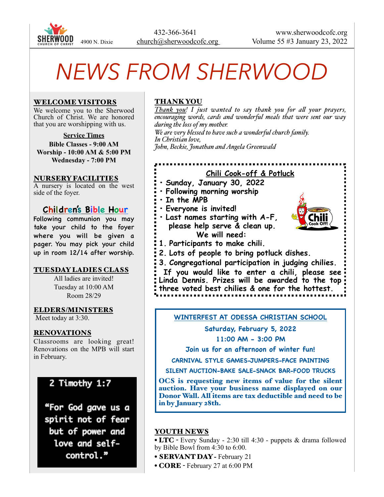

# *NEWS FROM SHERWOOD*

## WELCOME VISITORS

We welcome you to the Sherwood Church of Christ. We are honored that you are worshipping with us.

**Service Times**

**Bible Classes - 9:00 AM Worship - 10:00 AM & 5:00 PM Wednesday - 7:00 PM**

#### NURSERY FACILITIES

A nursery is located on the west side of the foyer.

## **Children's Bible Hour**

Following communion you may take your child to the foyer where you will be given a pager. You may pick your child up in room 12/14 after worship.

## TUESDAY LADIES CLASS

All ladies are invited! Tuesday at 10:00 AM Room 28/29

#### ELDERS/MINISTERS

Meet today at 3:30.

## RENOVATIONS

Classrooms are looking great! Renovations on the MPB will start in February.

# 2 Timothy 1:7

"For God gave us a spirit not of fear but of power and love and selfcontrol."

## THANK YOU

**• In the MPB**

**• Everyone is invited!**

*Thank you! I just wanted to say thank you for all your prayers, encouraging words, cards and wonderful meals that were sent our way during the loss of my mother.* 

**Chili Cook-off & Potluck**

*We are very blessed to have such a wonderful church family. In Christian love, John, Beckie, Jonathan and Angela Greenwald*

**1. Participants to make chili.**

**• Last names starting with A-F, please help serve & clean up. We will need:**

**• Sunday, January 30, 2022 • Following morning worship** 

- **2. Lots of people to bring potluck dishes.**
- **3. Congregational participation in judging chilies.**

 **If you would like to enter a chili, please see Linda Dennis. Prizes will be awarded to the top three voted best chilies & one for the hottest.**

**WINTERFEST AT ODESSA CHRISTIAN SCHOOL**

**Saturday, February 5, 2022**

**11:00 AM - 3:00 PM**

**Join us for an afternoon of winter fun!**

**CARNIVAL STYLE GAMES-JUMPERS-FACE PAINTING**

**SILENT AUCTION-BAKE SALE-SNACK BAR-FOOD TRUCKS**

OCS is requesting new items of value for the silent auction. Have your business name displayed on our Donor Wall. All items are tax deductible and need to be in by January 28th.

## YOUTH NEWS

• LTC - Every Sunday - 2:30 till 4:30 - puppets & drama followed by Bible Bowl from 4:30 to 6:00.

- SERVANT DAY February 21
- CORE February 27 at 6:00 PM